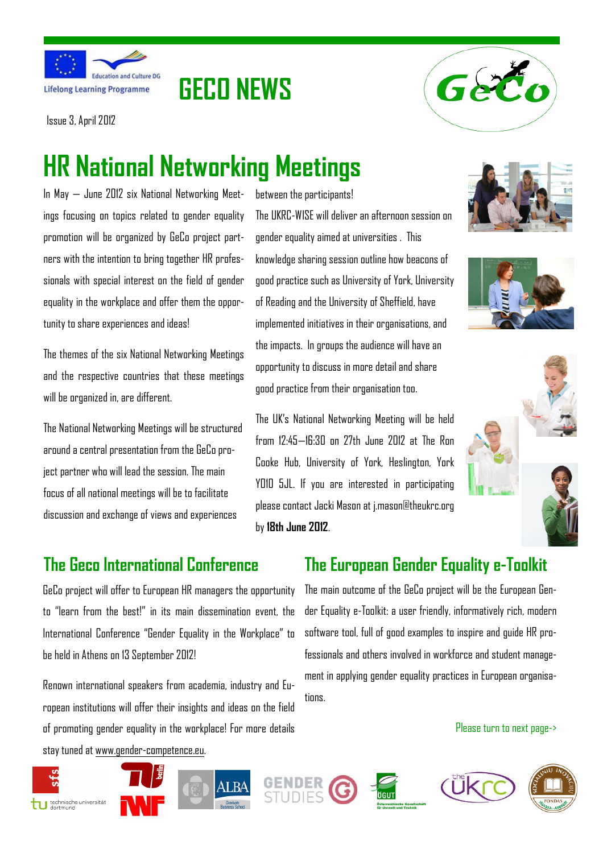



Issue 3, April 2012

# **HR National Networking Meetings**

**GECO NEWS**

In May — June 2012 six National Networking Meetings focusing on topics related to gender equality promotion will be organized by GeCo project partners with the intention to bring together HR professionals with special interest on the field of gender equality in the workplace and offer them the opportunity to share experiences and ideas!

The themes of the six National Networking Meetings and the respective countries that these meetings will be organized in, are different.

The National Networking Meetings will be structured around a central presentation from the GeCo project partner who will lead the session. The main focus of all national meetings will be to facilitate discussion and exchange of views and experiences

## **The Geco International Conference**

GeCo project will offer to European HR managers the opportunity to "learn from the best!" in its main dissemination event, the International Conference "Gender Equality in the Workplace" to be held in Athens on 13 September 2012!

Renown international speakers from academia, industry and European institutions will offer their insights and ideas on the field of promoting gender equality in the workplace! For more details stay tuned at www.gender-competence.eu.

between the participants! The UKRC-WISE will deliver an afternoon session on gender equality aimed at universities . This knowledge sharing session outline how beacons of good practice such as University of York, University of Reading and the University of Sheffield, have implemented initiatives in their organisations, and the impacts. In groups the audience will have an opportunity to discuss in more detail and share good practice from their organisation too.

The UK's National Networking Meeting will be held from 12:45—16:30 on 27th June 2012 at The Ron Cooke Hub, University of York, Heslington, York YO10 5JL. If you are interested in participating please contact Jacki Mason at j.mason@theukrc.org by **18th June 2012**.







## **The European Gender Equality e-Toolkit**

The main outcome of the GeCo project will be the European Gender Equality e-Toolkit: a user friendly, informatively rich, modern software tool, full of good examples to inspire and guide HR professionals and others involved in workforce and student management in applying gender equality practices in European organisatinns

Please turn to next page->